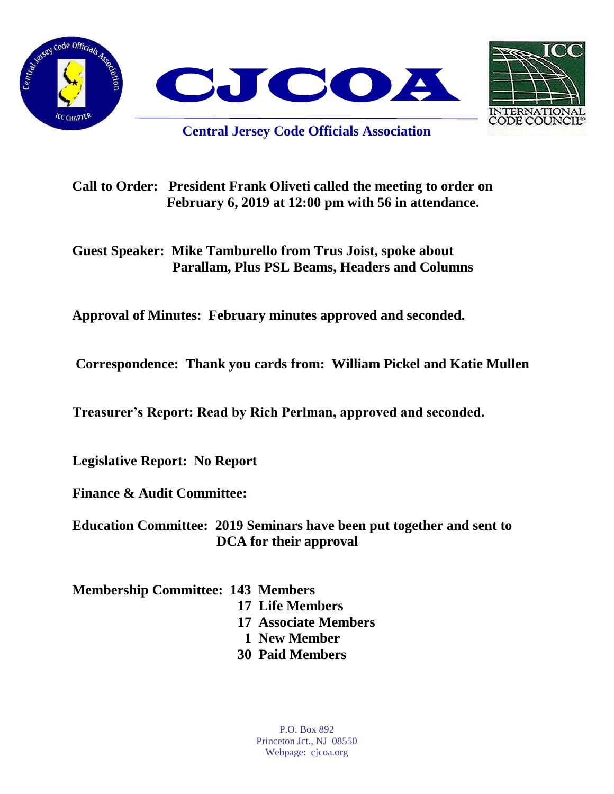



**Central Jersey Code Officials Association**

**Call to Order: President Frank Oliveti called the meeting to order on February 6, 2019 at 12:00 pm with 56 in attendance.**

**Guest Speaker: Mike Tamburello from Trus Joist, spoke about Parallam, Plus PSL Beams, Headers and Columns**

**Approval of Minutes: February minutes approved and seconded.** 

**Correspondence: Thank you cards from: William Pickel and Katie Mullen**

**Treasurer's Report: Read by Rich Perlman, approved and seconded.** 

**Legislative Report: No Report**

**Finance & Audit Committee:** 

**Education Committee: 2019 Seminars have been put together and sent to DCA for their approval**

**Membership Committee: 143 Members** 

 **17 Life Members 17 Associate Members 1 New Member 30 Paid Members**

> P.O. Box 892 Princeton Jct., NJ 08550 Webpage: cjcoa.org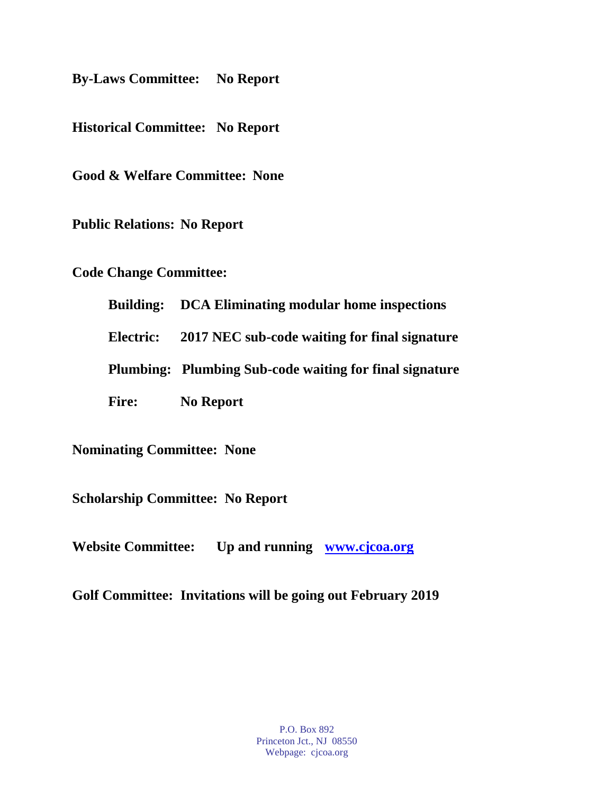**By-Laws Committee: No Report**

**Historical Committee: No Report**

**Good & Welfare Committee: None**

**Public Relations: No Report**

**Code Change Committee:** 

**Building: DCA Eliminating modular home inspections**

**Electric: 2017 NEC sub-code waiting for final signature**

**Plumbing: Plumbing Sub-code waiting for final signature**

**Fire: No Report**

**Nominating Committee: None**

**Scholarship Committee: No Report**

**Website Committee: Up and running [www.cjcoa.org](http://www.cjcoa.org/)**

**Golf Committee: Invitations will be going out February 2019**